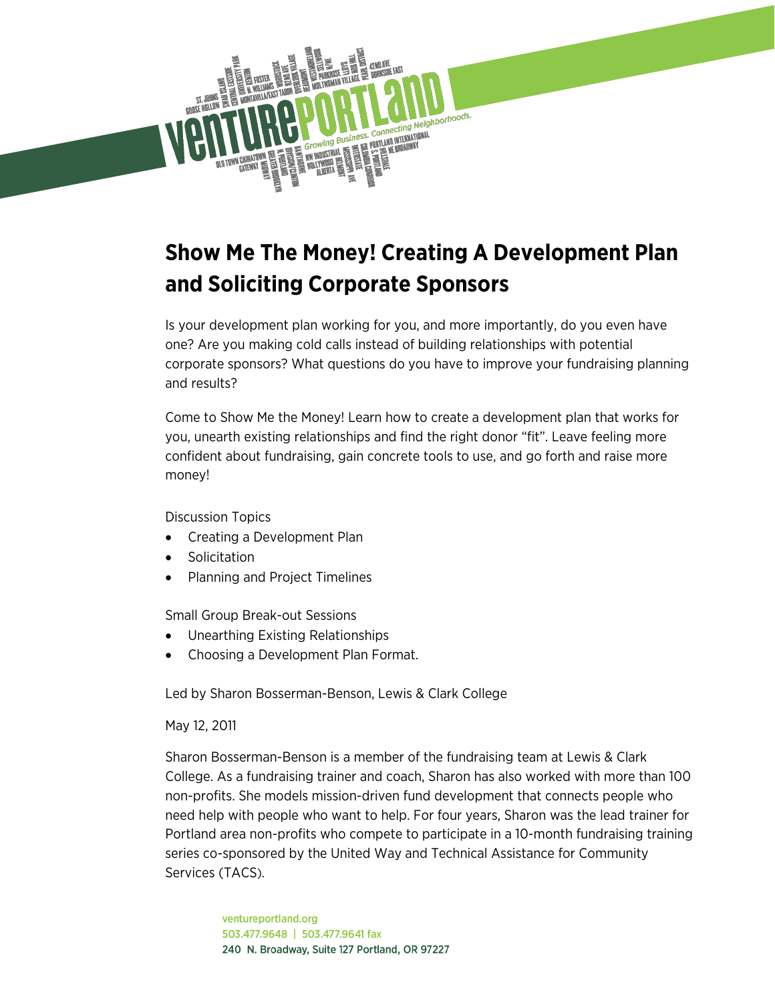

# **Show Me The Money! Creating A Development Plan and Soliciting Corporate Sponsors**

Is your development plan working for you, and more importantly, do you even have one? Are you making cold calls instead of building relationships with potential corporate sponsors? What questions do you have to improve your fundraising planning and results?

Come to Show Me the Money! Learn how to create a development plan that works for you, unearth existing relationships and find the right donor "fit". Leave feeling more confident about fundraising, gain concrete tools to use, and go forth and raise more money!

Discussion Topics

- Creating a Development Plan
- Solicitation
- Planning and Project Timelines

Small Group Break-out Sessions

- Unearthing Existing Relationships
- Choosing a Development Plan Format.

Led by Sharon Bosserman-Benson, Lewis & Clark College

May 12, 2011

Sharon Bosserman-Benson is a member of the fundraising team at Lewis & Clark College. As a fundraising trainer and coach, Sharon has also worked with more than 100 non-profits. She models mission-driven fund development that connects people who need help with people who want to help. For four years, Sharon was the lead trainer for Portland area non-profits who compete to participate in a 10-month fundraising training series co-sponsored by the United Way and Technical Assistance for Community Services (TACS).

> ventureportland.org 503.477.9648 | 503.477.9641 fax 240 N. Broadway, Suite 127 Portland, OR 97227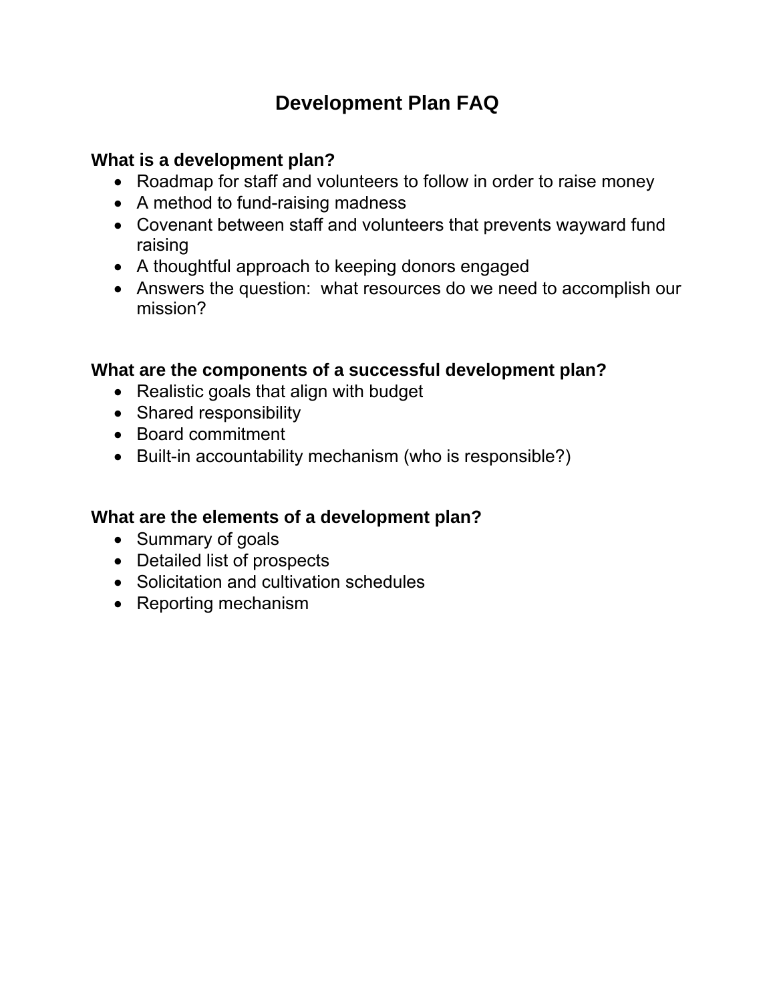### **Development Plan FAQ**

### **What is a development plan?**

- Roadmap for staff and volunteers to follow in order to raise money
- A method to fund-raising madness
- Covenant between staff and volunteers that prevents wayward fund raising
- A thoughtful approach to keeping donors engaged
- Answers the question: what resources do we need to accomplish our mission?

### **What are the components of a successful development plan?**

- Realistic goals that align with budget
- Shared responsibility
- Board commitment
- Built-in accountability mechanism (who is responsible?)

### **What are the elements of a development plan?**

- Summary of goals
- Detailed list of prospects
- Solicitation and cultivation schedules
- Reporting mechanism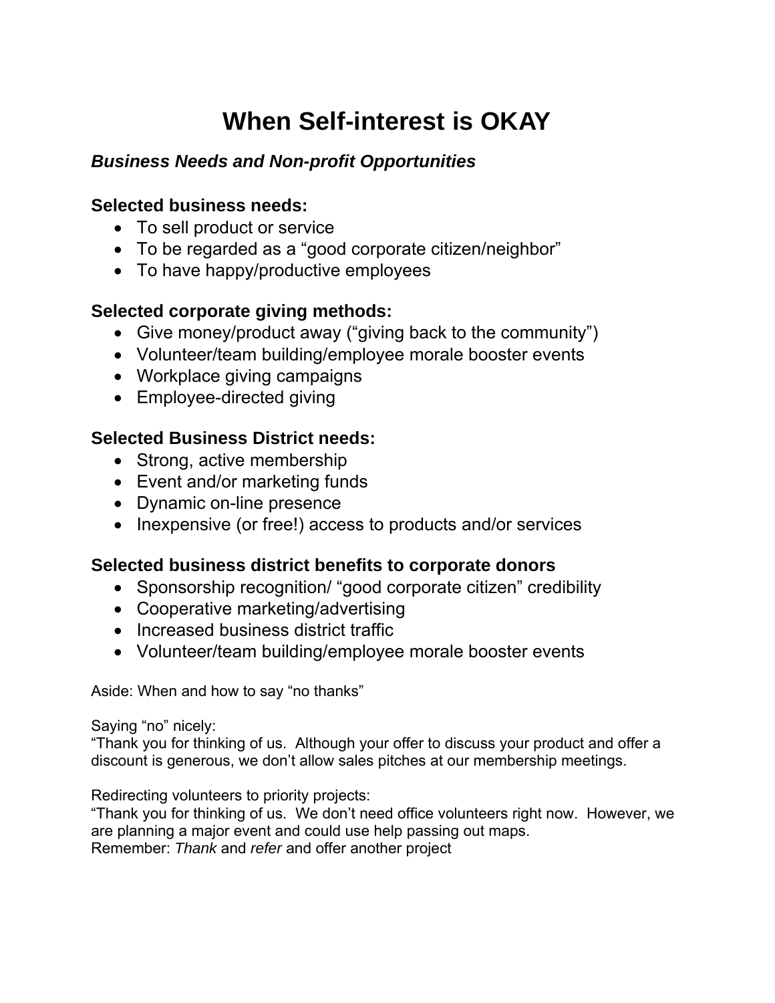# **When Self-interest is OKAY**

#### *Business Needs and Non-profit Opportunities*

#### **Selected business needs:**

- To sell product or service
- To be regarded as a "good corporate citizen/neighbor"
- To have happy/productive employees

#### **Selected corporate giving methods:**

- Give money/product away ("giving back to the community")
- Volunteer/team building/employee morale booster events
- Workplace giving campaigns
- Employee-directed giving

#### **Selected Business District needs:**

- Strong, active membership
- Event and/or marketing funds
- Dynamic on-line presence
- Inexpensive (or free!) access to products and/or services

#### **Selected business district benefits to corporate donors**

- Sponsorship recognition/ "good corporate citizen" credibility
- Cooperative marketing/advertising
- Increased business district traffic
- Volunteer/team building/employee morale booster events

Aside: When and how to say "no thanks"

Saying "no" nicely:

"Thank you for thinking of us. Although your offer to discuss your product and offer a discount is generous, we don't allow sales pitches at our membership meetings.

Redirecting volunteers to priority projects:

"Thank you for thinking of us. We don't need office volunteers right now. However, we are planning a major event and could use help passing out maps. Remember: *Thank* and *refer* and offer another project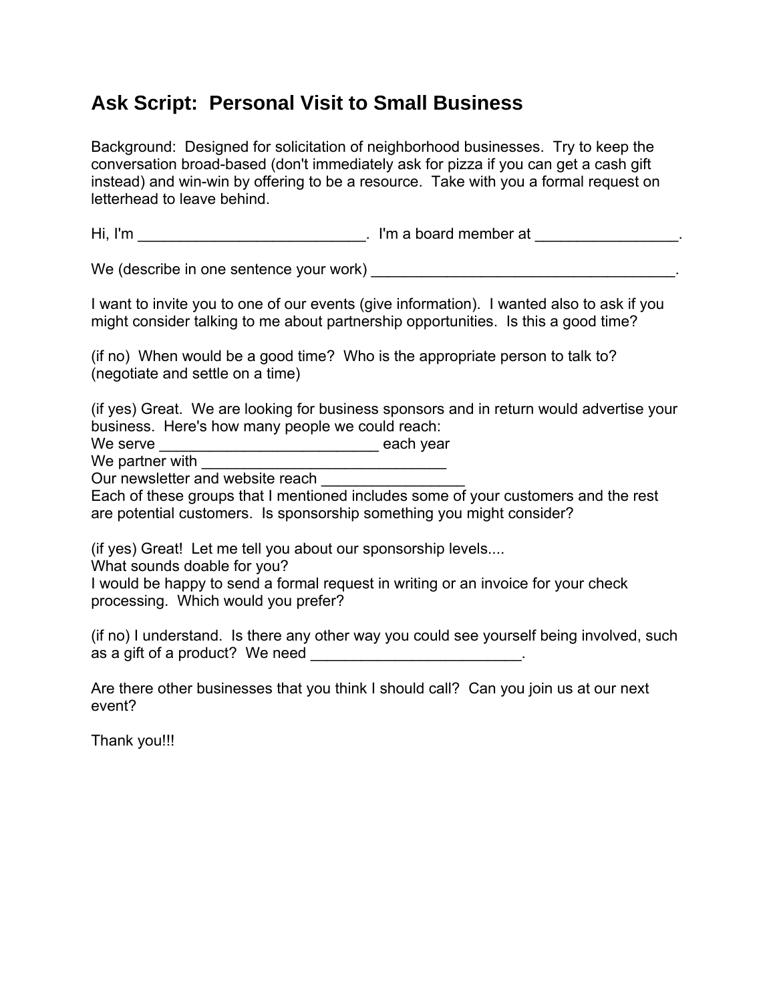### **Ask Script: Personal Visit to Small Business**

Background: Designed for solicitation of neighborhood businesses. Try to keep the conversation broad-based (don't immediately ask for pizza if you can get a cash gift instead) and win-win by offering to be a resource. Take with you a formal request on letterhead to leave behind.

Hi, I'm  $\Box$  is a board member at  $\Box$ 

We (describe in one sentence your work) \_\_\_\_\_\_\_\_\_\_\_\_\_\_\_\_\_\_\_\_\_\_\_\_\_\_\_\_\_\_\_\_\_\_\_\_.

I want to invite you to one of our events (give information). I wanted also to ask if you might consider talking to me about partnership opportunities. Is this a good time?

(if no) When would be a good time? Who is the appropriate person to talk to? (negotiate and settle on a time)

(if yes) Great. We are looking for business sponsors and in return would advertise your business. Here's how many people we could reach:

We serve \_\_\_\_\_\_\_\_\_\_\_\_\_\_\_\_\_\_\_\_\_\_\_\_\_\_ each year

We partner with

Our newsletter and website reach

Each of these groups that I mentioned includes some of your customers and the rest are potential customers. Is sponsorship something you might consider?

(if yes) Great! Let me tell you about our sponsorship levels....

What sounds doable for you?

I would be happy to send a formal request in writing or an invoice for your check processing. Which would you prefer?

(if no) I understand. Is there any other way you could see yourself being involved, such as a gift of a product? We need

Are there other businesses that you think I should call? Can you join us at our next event?

Thank you!!!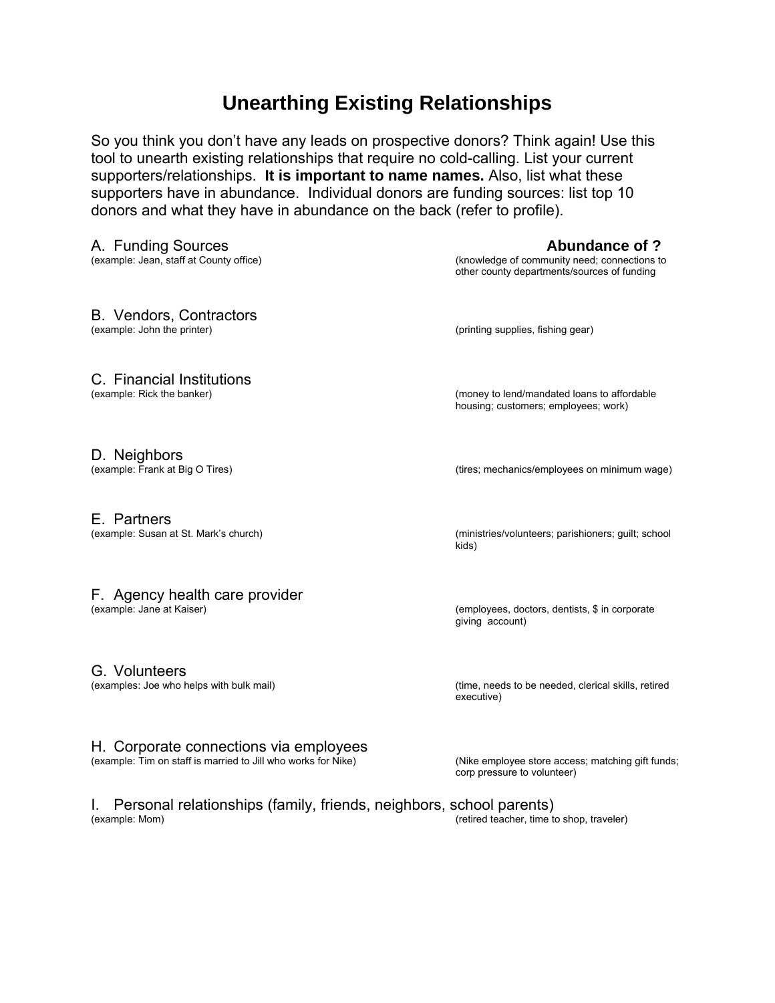### **Unearthing Existing Relationships**

So you think you don't have any leads on prospective donors? Think again! Use this tool to unearth existing relationships that require no cold-calling. List your current supporters/relationships. **It is important to name names.** Also, list what these supporters have in abundance. Individual donors are funding sources: list top 10 donors and what they have in abundance on the back (refer to profile).

A. Funding Sources **Abundance of ?**<br>(example: Jean, staff at County office) **Abundance of State 3 and State 3 and State 3 and State 3 and State 3 and State 3 and State 3 and State 3 and State 3 and State 3 and State 3 and** (knowledge of community need; connections to other county departments/sources of funding B. Vendors, Contractors<br>(example: John the printer) (printing supplies, fishing gear) C. Financial Institutions (example: Rick the banker) (money to lend/mandated loans to affordable housing; customers; employees; work) D. Neighbors<br>(example: Frank at Big O Tires) E. Partners (example: Susan at St. Mark's church) (ministries/volunteers; parishioners; guilt; school kids)

## F. Agency health care provider (example: Jane at Kaiser)

G. Volunteers

#### H. Corporate connections via employees

(example: Tim on staff is married to Jill who works for Nike) (Nike employee store access; matching gift funds;

(employees, doctors, dentists, \$ in corporate giving account)

(examples: Joe who helps with bulk mail) (time, needs to be needed, clerical skills, retired executive)

corp pressure to volunteer)

I. Personal relationships (family, friends, neighbors, school parents) (example: Mom) (retired teacher, time to shop, traveler)

(tires: mechanics/employees on minimum wage)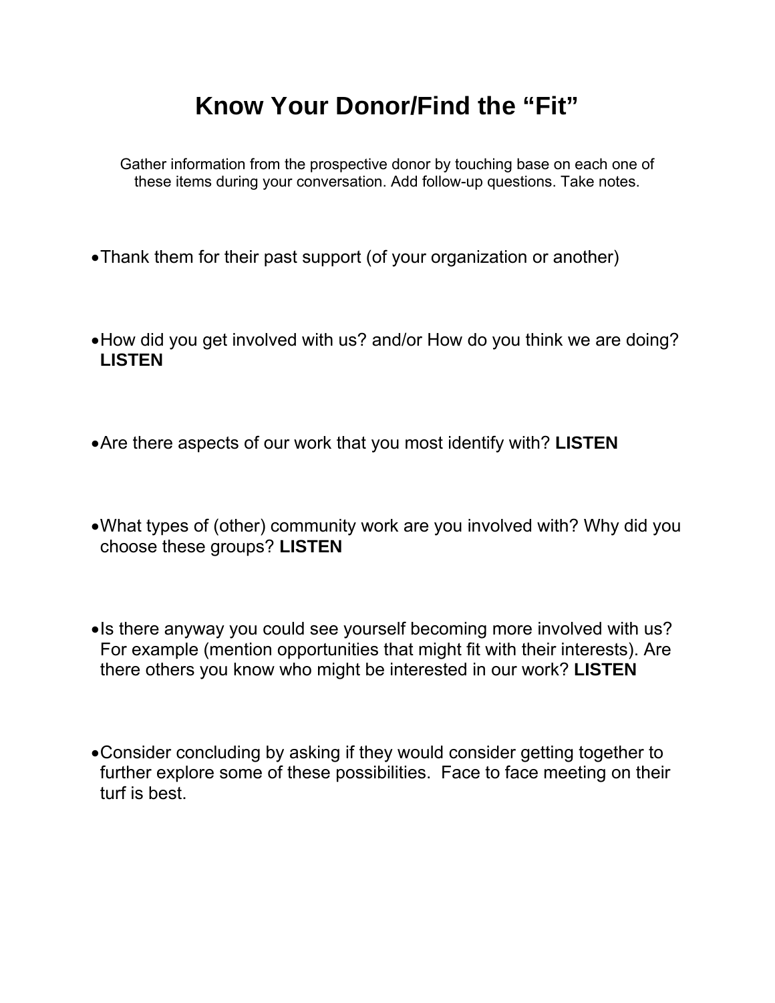# **Know Your Donor/Find the "Fit"**

Gather information from the prospective donor by touching base on each one of these items during your conversation. Add follow-up questions. Take notes.

- Thank them for their past support (of your organization or another)
- How did you get involved with us? and/or How do you think we are doing? **LISTEN**
- Are there aspects of our work that you most identify with? **LISTEN**
- What types of (other) community work are you involved with? Why did you choose these groups? **LISTEN**
- Is there anyway you could see yourself becoming more involved with us? For example (mention opportunities that might fit with their interests). Are there others you know who might be interested in our work? **LISTEN**
- Consider concluding by asking if they would consider getting together to further explore some of these possibilities. Face to face meeting on their turf is best.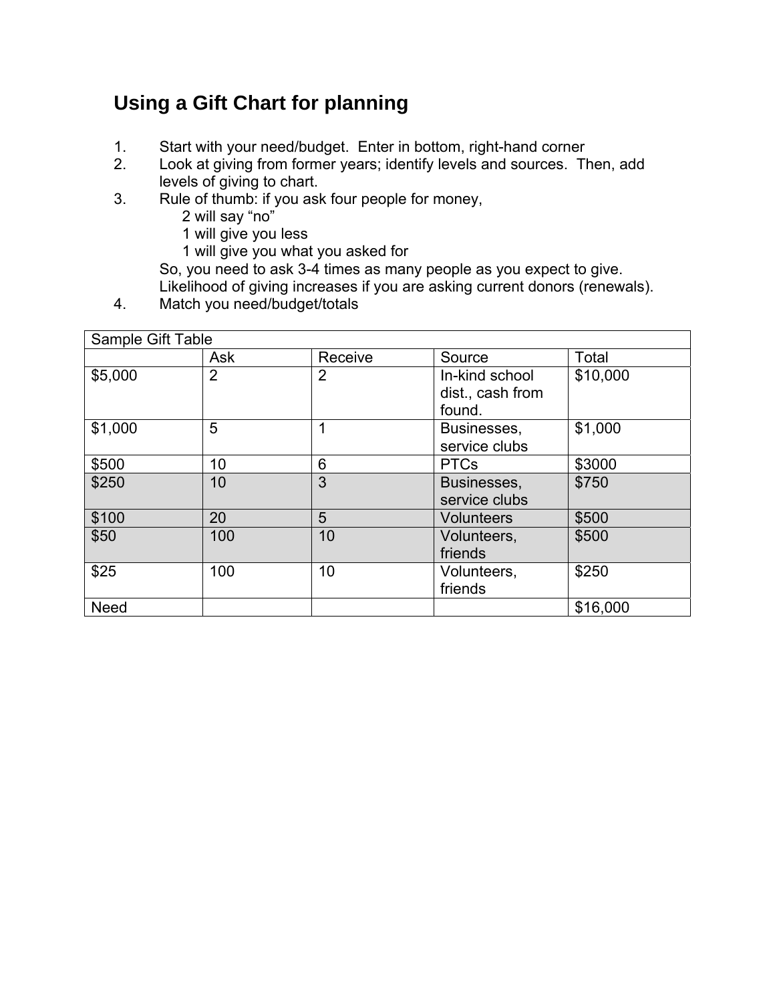## **Using a Gift Chart for planning**

- 1. Start with your need/budget. Enter in bottom, right-hand corner
- 2. Look at giving from former years; identify levels and sources. Then, add levels of giving to chart.
- 3. Rule of thumb: if you ask four people for money,
	- 2 will say "no"
	- 1 will give you less
	- 1 will give you what you asked for

So, you need to ask 3-4 times as many people as you expect to give. Likelihood of giving increases if you are asking current donors (renewals).

4. Match you need/budget/totals

| Sample Gift Table |                |         |                                              |          |  |  |
|-------------------|----------------|---------|----------------------------------------------|----------|--|--|
|                   | <b>Ask</b>     | Receive | Source                                       | Total    |  |  |
| \$5,000           | $\overline{2}$ | 2       | In-kind school<br>dist., cash from<br>found. | \$10,000 |  |  |
| \$1,000           | 5              |         | Businesses,<br>service clubs                 | \$1,000  |  |  |
| \$500             | 10             | 6       | <b>PTCs</b>                                  | \$3000   |  |  |
| \$250             | 10             | 3       | Businesses,<br>service clubs                 | \$750    |  |  |
| \$100             | 20             | 5       | <b>Volunteers</b>                            | \$500    |  |  |
| \$50              | 100            | 10      | Volunteers,<br>friends                       | \$500    |  |  |
| \$25              | 100            | 10      | Volunteers,<br>friends                       | \$250    |  |  |
| <b>Need</b>       |                |         |                                              | \$16,000 |  |  |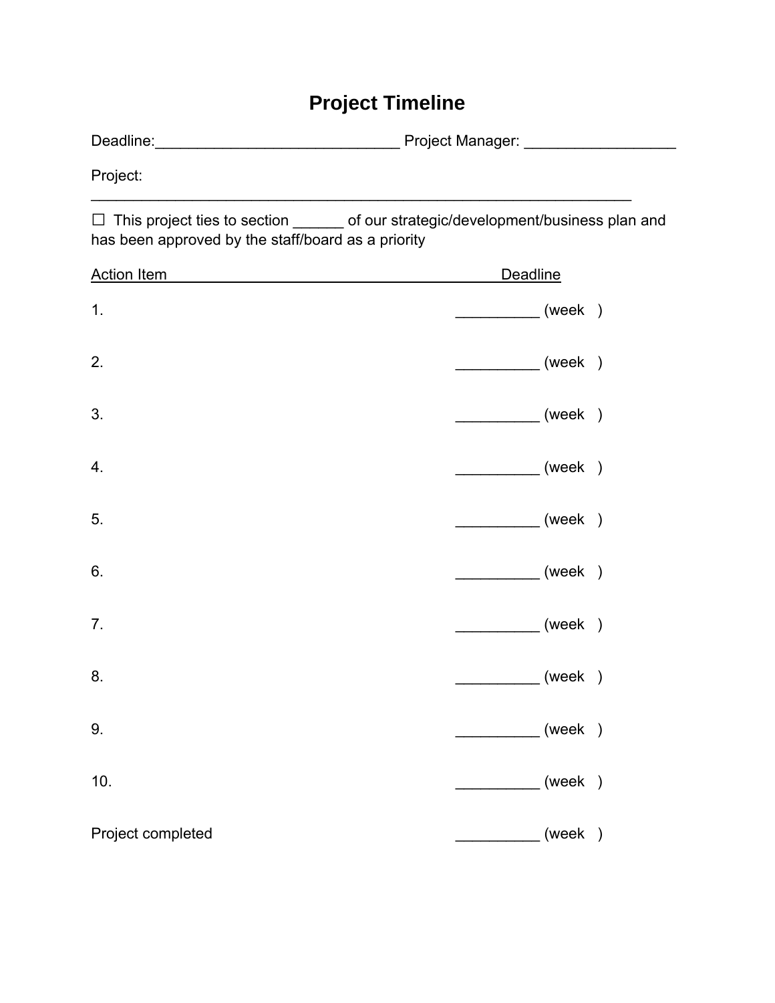## **Project Timeline**

Deadline:\_\_\_\_\_\_\_\_\_\_\_\_\_\_\_\_\_\_\_\_\_\_\_\_\_\_\_\_\_ Project Manager: \_\_\_\_\_\_\_\_\_\_\_\_\_\_\_\_\_\_

Project:

□ This project ties to section \_\_\_\_\_\_ of our strategic/development/business plan and has been approved by the staff/board as a priority

 $\mathcal{L}_\text{max}$  and  $\mathcal{L}_\text{max}$  and  $\mathcal{L}_\text{max}$  and  $\mathcal{L}_\text{max}$  and  $\mathcal{L}_\text{max}$  and  $\mathcal{L}_\text{max}$ 

| <b>Action Item</b> | <b>Deadline</b> |
|--------------------|-----------------|
| 1.                 | (week)          |
| 2.                 | (week)          |
| 3.                 | (week)          |
| 4.                 | (week)          |
| 5.                 | (week)          |
| 6.                 | (week)          |
| 7.                 | (week)          |
| 8.                 | (week)          |
| 9.                 | (week)          |
| 10.                | (week)          |
| Project completed  | (week)          |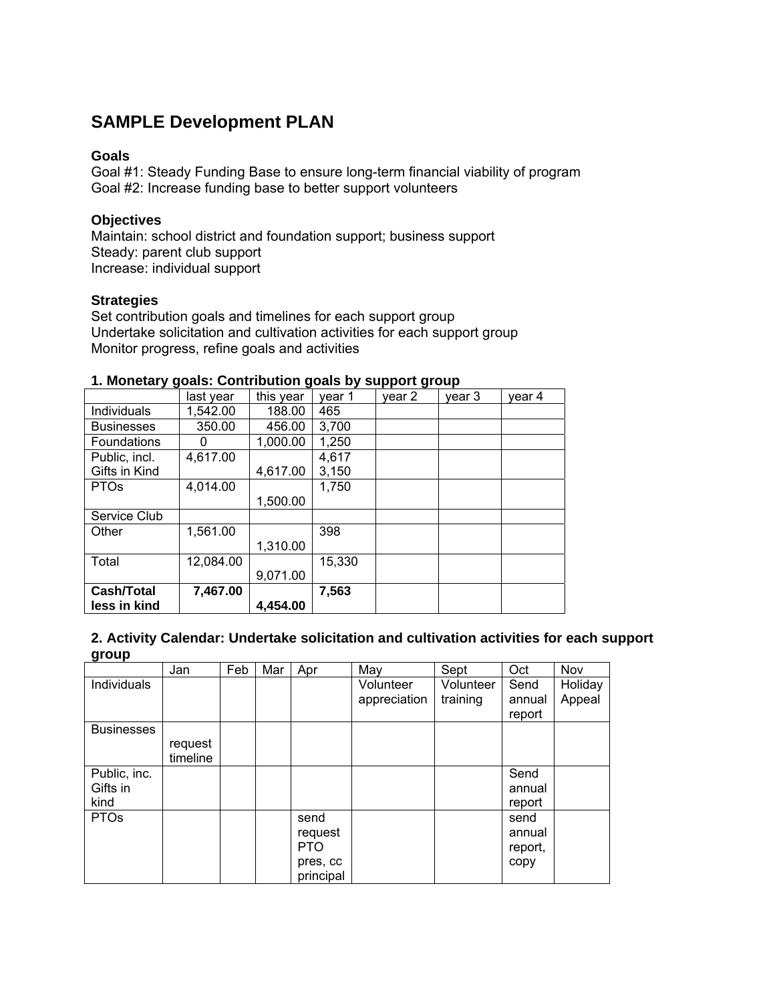#### **SAMPLE Development PLAN**

#### **Goals**

Goal #1: Steady Funding Base to ensure long-term financial viability of program Goal #2: Increase funding base to better support volunteers

#### **Objectives**

Maintain: school district and foundation support; business support Steady: parent club support Increase: individual support

#### **Strategies**

Set contribution goals and timelines for each support group Undertake solicitation and cultivation activities for each support group Monitor progress, refine goals and activities

| n monclary goals. Oommodion goals by support group |           |           |        |        |        |        |
|----------------------------------------------------|-----------|-----------|--------|--------|--------|--------|
|                                                    | last year | this year | year 1 | year 2 | year 3 | year 4 |
| Individuals                                        | 1,542.00  | 188.00    | 465    |        |        |        |
| <b>Businesses</b>                                  | 350.00    | 456.00    | 3,700  |        |        |        |
| Foundations                                        |           | 1,000.00  | 1,250  |        |        |        |
| Public, incl.                                      | 4,617.00  |           | 4,617  |        |        |        |
| Gifts in Kind                                      |           | 4,617.00  | 3,150  |        |        |        |
| <b>PTOs</b>                                        | 4,014.00  |           | 1,750  |        |        |        |
|                                                    |           | 1,500.00  |        |        |        |        |
| Service Club                                       |           |           |        |        |        |        |
| Other                                              | 1,561.00  |           | 398    |        |        |        |
|                                                    |           | 1,310.00  |        |        |        |        |
| Total                                              | 12,084.00 |           | 15,330 |        |        |        |
|                                                    |           | 9,071.00  |        |        |        |        |
| Cash/Total                                         | 7,467.00  |           | 7,563  |        |        |        |
| less in kind                                       |           | 4,454.00  |        |        |        |        |

#### **1. Monetary goals: Contribution goals by support group**

| 2. Activity Calendar: Undertake solicitation and cultivation activities for each support |  |
|------------------------------------------------------------------------------------------|--|
| group                                                                                    |  |

|                                  | Jan                 | Feb | Mar | Apr                                                    | May                       | Sept                  | Oct                               | Nov               |
|----------------------------------|---------------------|-----|-----|--------------------------------------------------------|---------------------------|-----------------------|-----------------------------------|-------------------|
| Individuals                      |                     |     |     |                                                        | Volunteer<br>appreciation | Volunteer<br>training | Send<br>annual<br>report          | Holiday<br>Appeal |
| <b>Businesses</b>                | request<br>timeline |     |     |                                                        |                           |                       |                                   |                   |
| Public, inc.<br>Gifts in<br>kind |                     |     |     |                                                        |                           |                       | Send<br>annual<br>report          |                   |
| <b>PTOs</b>                      |                     |     |     | send<br>request<br><b>PTO</b><br>pres, cc<br>principal |                           |                       | send<br>annual<br>report,<br>copy |                   |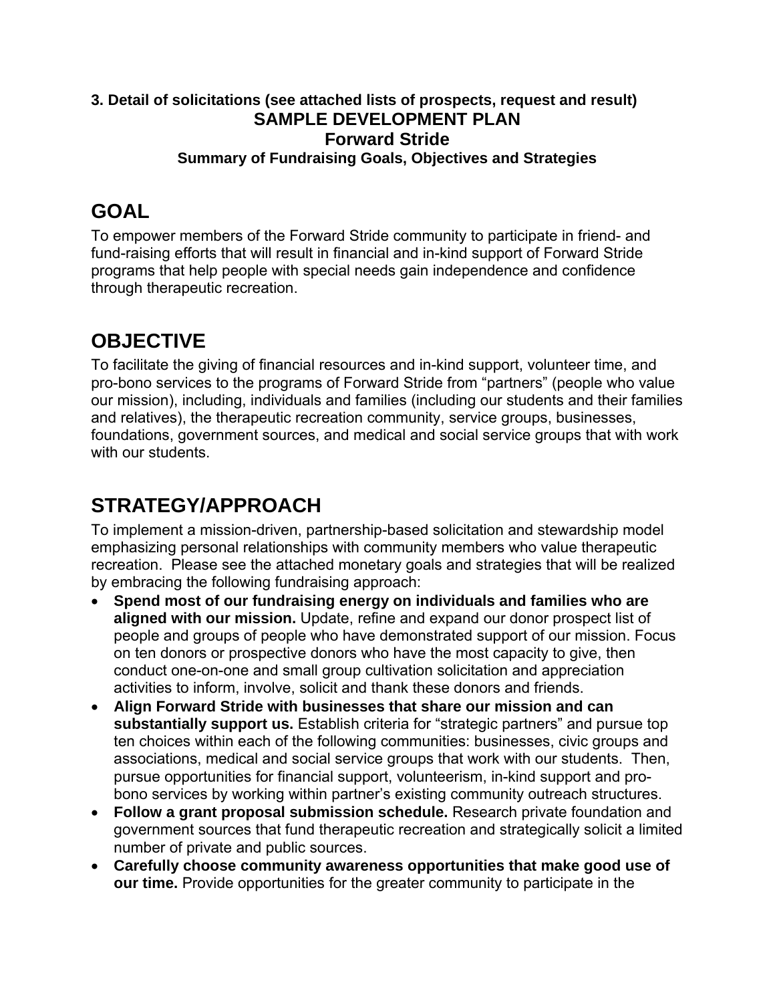#### **3. Detail of solicitations (see attached lists of prospects, request and result) SAMPLE DEVELOPMENT PLAN Forward Stride Summary of Fundraising Goals, Objectives and Strategies**

### **GOAL**

To empower members of the Forward Stride community to participate in friend- and fund-raising efforts that will result in financial and in-kind support of Forward Stride programs that help people with special needs gain independence and confidence through therapeutic recreation.

## **OBJECTIVE**

To facilitate the giving of financial resources and in-kind support, volunteer time, and pro-bono services to the programs of Forward Stride from "partners" (people who value our mission), including, individuals and families (including our students and their families and relatives), the therapeutic recreation community, service groups, businesses, foundations, government sources, and medical and social service groups that with work with our students.

## **STRATEGY/APPROACH**

To implement a mission-driven, partnership-based solicitation and stewardship model emphasizing personal relationships with community members who value therapeutic recreation. Please see the attached monetary goals and strategies that will be realized by embracing the following fundraising approach:

- **Spend most of our fundraising energy on individuals and families who are aligned with our mission.** Update, refine and expand our donor prospect list of people and groups of people who have demonstrated support of our mission. Focus on ten donors or prospective donors who have the most capacity to give, then conduct one-on-one and small group cultivation solicitation and appreciation activities to inform, involve, solicit and thank these donors and friends.
- **Align Forward Stride with businesses that share our mission and can substantially support us.** Establish criteria for "strategic partners" and pursue top ten choices within each of the following communities: businesses, civic groups and associations, medical and social service groups that work with our students. Then, pursue opportunities for financial support, volunteerism, in-kind support and probono services by working within partner's existing community outreach structures.
- **Follow a grant proposal submission schedule.** Research private foundation and government sources that fund therapeutic recreation and strategically solicit a limited number of private and public sources.
- **Carefully choose community awareness opportunities that make good use of our time.** Provide opportunities for the greater community to participate in the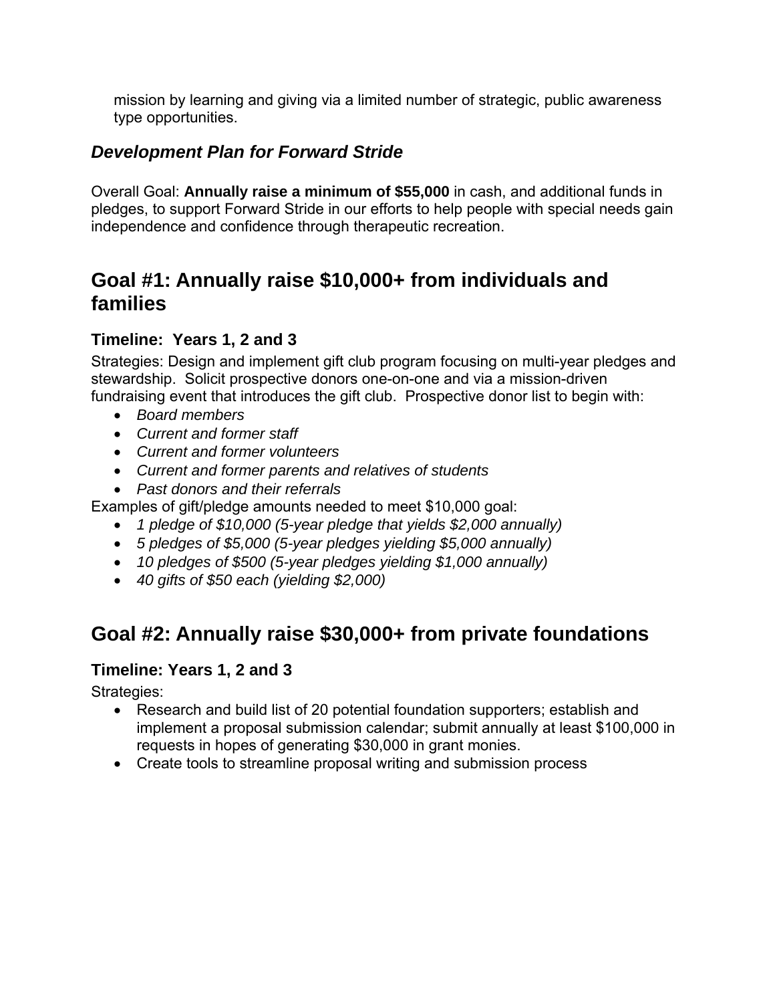mission by learning and giving via a limited number of strategic, public awareness type opportunities.

### *Development Plan for Forward Stride*

Overall Goal: **Annually raise a minimum of \$55,000** in cash, and additional funds in pledges, to support Forward Stride in our efforts to help people with special needs gain independence and confidence through therapeutic recreation.

### **Goal #1: Annually raise \$10,000+ from individuals and families**

#### **Timeline: Years 1, 2 and 3**

Strategies: Design and implement gift club program focusing on multi-year pledges and stewardship. Solicit prospective donors one-on-one and via a mission-driven fundraising event that introduces the gift club. Prospective donor list to begin with:

- *Board members*
- *Current and former staff*
- *Current and former volunteers*
- *Current and former parents and relatives of students*
- *Past donors and their referrals*

Examples of gift/pledge amounts needed to meet \$10,000 goal:

- *1 pledge of \$10,000 (5-year pledge that yields \$2,000 annually)*
- *5 pledges of \$5,000 (5-year pledges yielding \$5,000 annually)*
- *10 pledges of \$500 (5-year pledges yielding \$1,000 annually)*
- *40 gifts of \$50 each (yielding \$2,000)*

### **Goal #2: Annually raise \$30,000+ from private foundations**

#### **Timeline: Years 1, 2 and 3**

Strategies:

- Research and build list of 20 potential foundation supporters; establish and implement a proposal submission calendar; submit annually at least \$100,000 in requests in hopes of generating \$30,000 in grant monies.
- Create tools to streamline proposal writing and submission process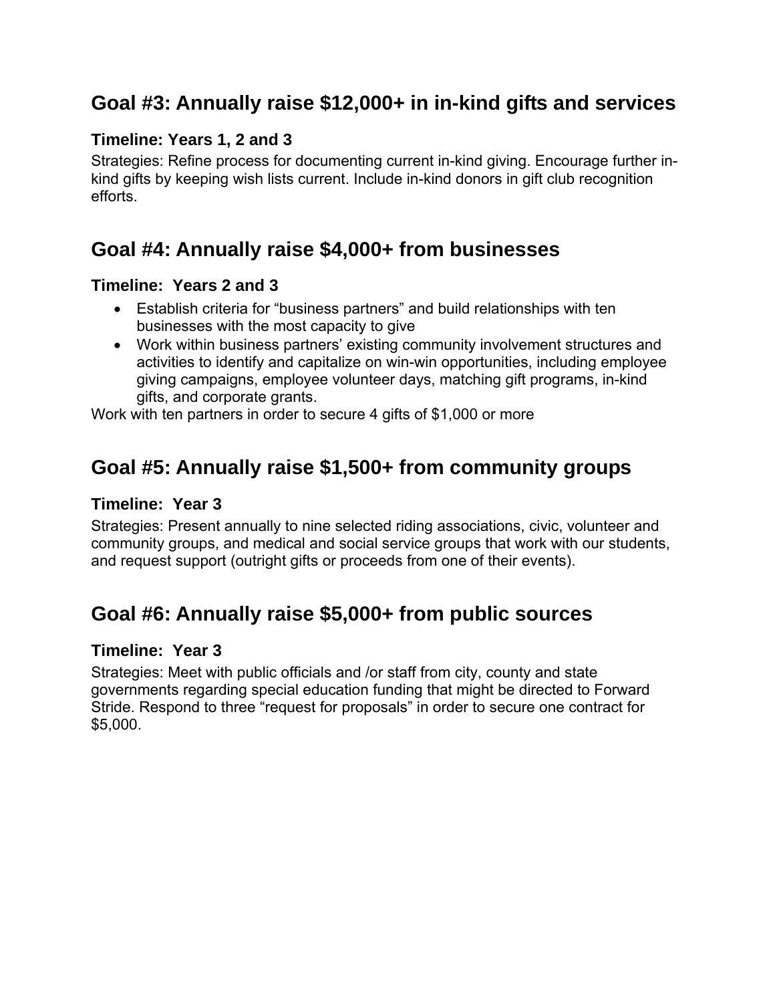### **Goal #3: Annually raise \$12,000+ in in-kind gifts and services**

#### **Timeline: Years 1, 2 and 3**

Strategies: Refine process for documenting current in-kind giving. Encourage further inkind gifts by keeping wish lists current. Include in-kind donors in gift club recognition efforts.

### **Goal #4: Annually raise \$4,000+ from businesses**

#### **Timeline: Years 2 and 3**

- Establish criteria for "business partners" and build relationships with ten businesses with the most capacity to give
- Work within business partners' existing community involvement structures and activities to identify and capitalize on win-win opportunities, including employee giving campaigns, employee volunteer days, matching gift programs, in-kind gifts, and corporate grants.

Work with ten partners in order to secure 4 gifts of \$1,000 or more

### **Goal #5: Annually raise \$1,500+ from community groups**

#### **Timeline: Year 3**

Strategies: Present annually to nine selected riding associations, civic, volunteer and community groups, and medical and social service groups that work with our students, and request support (outright gifts or proceeds from one of their events).

### **Goal #6: Annually raise \$5,000+ from public sources**

#### **Timeline: Year 3**

Strategies: Meet with public officials and /or staff from city, county and state governments regarding special education funding that might be directed to Forward Stride. Respond to three "request for proposals" in order to secure one contract for \$5,000.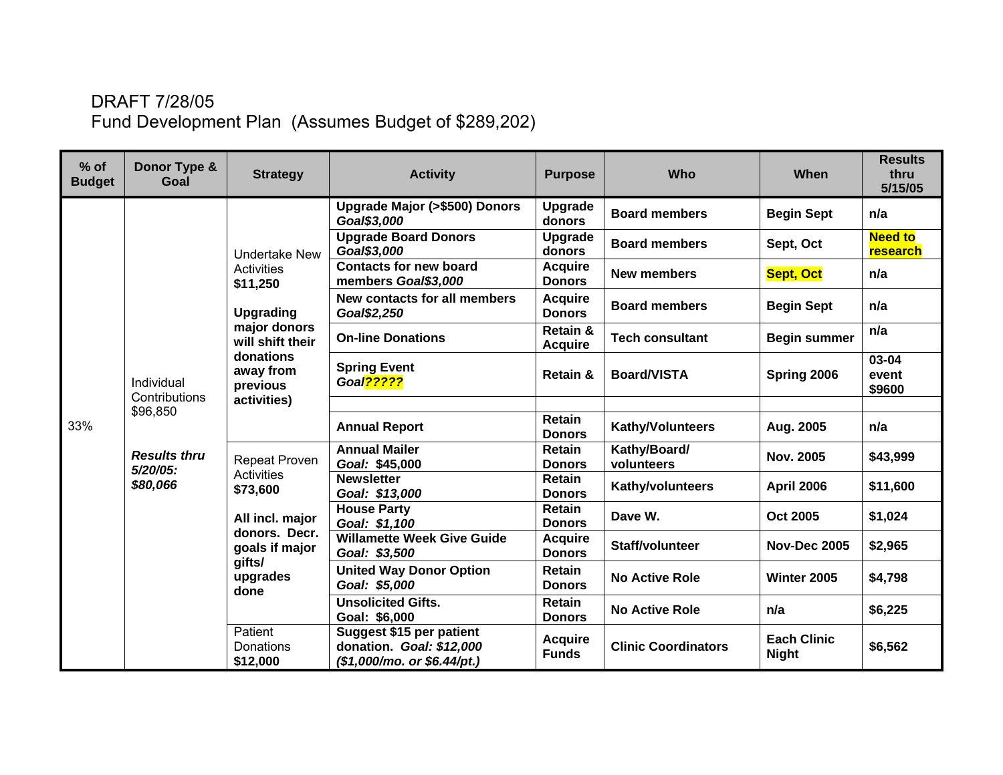### DRAFT 7/28/05 Fund Development Plan (Assumes Budget of \$289,202)

| $%$ of<br><b>Budget</b> | Donor Type &<br>Goal               | <b>Strategy</b>                                                          | <b>Activity</b>                                                                          | <b>Purpose</b>                  | Who                        | When                               | <b>Results</b><br>thru<br>5/15/05 |
|-------------------------|------------------------------------|--------------------------------------------------------------------------|------------------------------------------------------------------------------------------|---------------------------------|----------------------------|------------------------------------|-----------------------------------|
|                         |                                    |                                                                          | Upgrade Major (>\$500) Donors<br>Goal\$3,000                                             | Upgrade<br>donors               | <b>Board members</b>       | <b>Begin Sept</b>                  | n/a                               |
|                         |                                    | <b>Undertake New</b>                                                     | <b>Upgrade Board Donors</b><br>Goal\$3,000                                               | Upgrade<br>donors               | <b>Board members</b>       | Sept, Oct                          | <b>Need to</b><br>research        |
|                         |                                    | <b>Activities</b><br>\$11,250                                            | <b>Contacts for new board</b><br>members Goal\$3,000                                     | <b>Acquire</b><br><b>Donors</b> | <b>New members</b>         | <b>Sept, Oct</b>                   | n/a                               |
|                         |                                    | <b>Upgrading</b>                                                         | New contacts for all members<br>Goal\$2,250                                              | <b>Acquire</b><br><b>Donors</b> | <b>Board members</b>       | <b>Begin Sept</b>                  | n/a                               |
|                         |                                    | major donors<br>will shift their                                         | <b>On-line Donations</b>                                                                 | Retain &<br><b>Acquire</b>      | <b>Tech consultant</b>     | <b>Begin summer</b>                | n/a                               |
|                         | Individual<br>Contributions        | donations<br>away from<br>previous<br>activities)                        | <b>Spring Event</b><br>Goal <sub>22222</sub>                                             | Retain &                        | <b>Board/VISTA</b>         | Spring 2006                        | 03-04<br>event<br>\$9600          |
|                         | \$96,850                           |                                                                          |                                                                                          |                                 |                            |                                    |                                   |
| 33%                     |                                    |                                                                          | <b>Annual Report</b>                                                                     | <b>Retain</b><br><b>Donors</b>  | Kathy/Volunteers           | Aug. 2005                          | n/a                               |
|                         | <b>Results thru</b><br>$5/20/05$ : | <b>Repeat Proven</b><br><b>Activities</b><br>\$73,600<br>All incl. major | <b>Annual Mailer</b><br>Goal: \$45,000                                                   | <b>Retain</b><br><b>Donors</b>  | Kathy/Board/<br>volunteers | <b>Nov. 2005</b>                   | \$43,999                          |
|                         | \$80,066                           |                                                                          | <b>Newsletter</b><br>Goal: \$13,000                                                      | <b>Retain</b><br><b>Donors</b>  | Kathy/volunteers           | <b>April 2006</b>                  | \$11,600                          |
|                         |                                    |                                                                          | <b>House Party</b><br>Goal: \$1,100                                                      | Retain<br><b>Donors</b>         | Dave W.                    | Oct 2005                           | \$1,024                           |
|                         |                                    | donors. Decr.<br>goals if major                                          | <b>Willamette Week Give Guide</b><br>Goal: \$3,500                                       | <b>Acquire</b><br><b>Donors</b> | <b>Staff/volunteer</b>     | <b>Nov-Dec 2005</b>                | \$2,965                           |
|                         |                                    | gifts/<br>upgrades<br>done                                               | <b>United Way Donor Option</b><br>Goal: \$5,000                                          | <b>Retain</b><br><b>Donors</b>  | <b>No Active Role</b>      | Winter 2005                        | \$4,798                           |
|                         |                                    |                                                                          | <b>Unsolicited Gifts.</b><br>Goal: \$6,000                                               | <b>Retain</b><br><b>Donors</b>  | <b>No Active Role</b>      | n/a                                | \$6,225                           |
|                         |                                    | Patient<br>Donations<br>\$12,000                                         | Suggest \$15 per patient<br>donation. Goal: \$12,000<br>$($1,000/mol$ . or $$6.44/pt$ .) | <b>Acquire</b><br><b>Funds</b>  | <b>Clinic Coordinators</b> | <b>Each Clinic</b><br><b>Night</b> | \$6,562                           |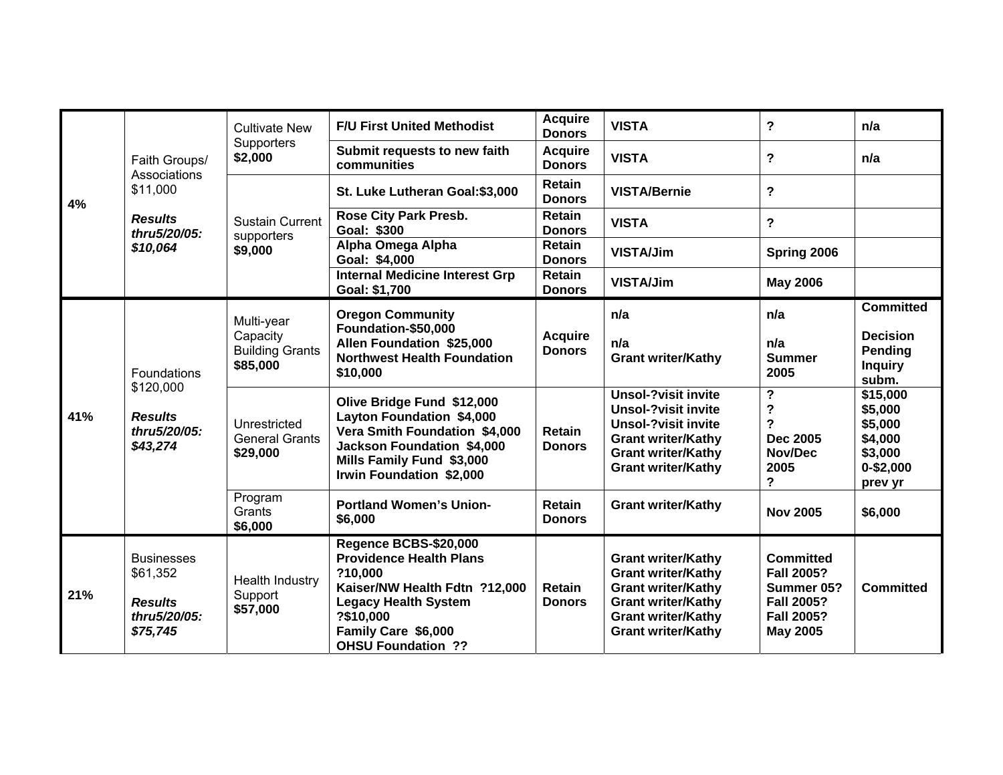|                                                                               |                                                                             | <b>Cultivate New</b>                              | <b>F/U First United Methodist</b>                                                                                                                                                                    | <b>Acquire</b><br><b>Donors</b> | <b>VISTA</b>                                                                                                                                                                  | ?                                                                                                                | n/a                                                                                                                           |
|-------------------------------------------------------------------------------|-----------------------------------------------------------------------------|---------------------------------------------------|------------------------------------------------------------------------------------------------------------------------------------------------------------------------------------------------------|---------------------------------|-------------------------------------------------------------------------------------------------------------------------------------------------------------------------------|------------------------------------------------------------------------------------------------------------------|-------------------------------------------------------------------------------------------------------------------------------|
|                                                                               | Faith Groups/                                                               | Supporters<br>\$2,000                             | Submit requests to new faith<br>communities                                                                                                                                                          | <b>Acquire</b><br><b>Donors</b> | <b>VISTA</b>                                                                                                                                                                  | ?                                                                                                                | n/a<br><b>Committed</b><br><b>Decision</b><br>Pending<br><b>Inquiry</b><br>subm.<br>\$15,000<br>\$5,000<br>\$5,000<br>\$4,000 |
| 4%                                                                            | Associations<br>\$11,000                                                    |                                                   | St. Luke Lutheran Goal: \$3,000                                                                                                                                                                      | <b>Retain</b><br><b>Donors</b>  | <b>VISTA/Bernie</b>                                                                                                                                                           | $\overline{\phantom{a}}$                                                                                         |                                                                                                                               |
|                                                                               | <b>Results</b><br>thru5/20/05:                                              | <b>Sustain Current</b><br>supporters              | <b>Rose City Park Presb.</b><br>Goal: \$300                                                                                                                                                          | <b>Retain</b><br><b>Donors</b>  | <b>VISTA</b>                                                                                                                                                                  | $\overline{\mathbf{?}}$                                                                                          |                                                                                                                               |
|                                                                               | \$10,064                                                                    | \$9,000                                           | Alpha Omega Alpha<br>Goal: \$4,000                                                                                                                                                                   | <b>Retain</b><br><b>Donors</b>  | <b>VISTA/Jim</b>                                                                                                                                                              | Spring 2006                                                                                                      |                                                                                                                               |
|                                                                               |                                                                             |                                                   | <b>Internal Medicine Interest Grp</b><br>Goal: \$1,700                                                                                                                                               | Retain<br><b>Donors</b>         | <b>VISTA/Jim</b>                                                                                                                                                              | <b>May 2006</b>                                                                                                  |                                                                                                                               |
| Foundations<br>\$120,000<br>41%<br><b>Results</b><br>thru5/20/05:<br>\$43,274 | Multi-year                                                                  | <b>Oregon Community</b><br>Foundation-\$50,000    |                                                                                                                                                                                                      | n/a                             | n/a                                                                                                                                                                           |                                                                                                                  |                                                                                                                               |
|                                                                               |                                                                             | Capacity<br><b>Building Grants</b><br>\$85,000    | Allen Foundation \$25,000<br><b>Northwest Health Foundation</b><br>\$10,000                                                                                                                          | <b>Acquire</b><br><b>Donors</b> | n/a<br><b>Grant writer/Kathy</b>                                                                                                                                              | n/a<br><b>Summer</b><br>2005                                                                                     |                                                                                                                               |
|                                                                               |                                                                             | Unrestricted<br><b>General Grants</b><br>\$29,000 | Olive Bridge Fund \$12,000<br><b>Layton Foundation \$4,000</b><br>Vera Smith Foundation \$4,000<br><b>Jackson Foundation \$4,000</b><br>Mills Family Fund \$3,000<br><b>Irwin Foundation \$2,000</b> | <b>Retain</b><br><b>Donors</b>  | <b>Unsol-?visit invite</b><br><b>Unsol-?visit invite</b><br><b>Unsol-?visit invite</b><br><b>Grant writer/Kathy</b><br><b>Grant writer/Kathy</b><br><b>Grant writer/Kathy</b> | ?<br>?<br>?<br><b>Dec 2005</b><br>Nov/Dec<br>2005<br>?                                                           | \$3,000<br>$0 - $2,000$<br>prev yr                                                                                            |
|                                                                               |                                                                             | Program<br>Grants<br>\$6,000                      | <b>Portland Women's Union-</b><br>\$6,000                                                                                                                                                            | <b>Retain</b><br><b>Donors</b>  | <b>Grant writer/Kathy</b>                                                                                                                                                     | <b>Nov 2005</b>                                                                                                  | \$6,000                                                                                                                       |
| 21%                                                                           | <b>Businesses</b><br>\$61,352<br><b>Results</b><br>thru5/20/05:<br>\$75,745 | Health Industry<br>Support<br>\$57,000            | Regence BCBS-\$20,000<br><b>Providence Health Plans</b><br>?10,000<br>Kaiser/NW Health Fdtn ?12,000<br><b>Legacy Health System</b><br>?\$10,000<br>Family Care \$6,000<br><b>OHSU Foundation ??</b>  | <b>Retain</b><br><b>Donors</b>  | <b>Grant writer/Kathy</b><br><b>Grant writer/Kathy</b><br><b>Grant writer/Kathy</b><br><b>Grant writer/Kathy</b><br><b>Grant writer/Kathy</b><br><b>Grant writer/Kathy</b>    | <b>Committed</b><br><b>Fall 2005?</b><br>Summer 05?<br><b>Fall 2005?</b><br><b>Fall 2005?</b><br><b>May 2005</b> | <b>Committed</b>                                                                                                              |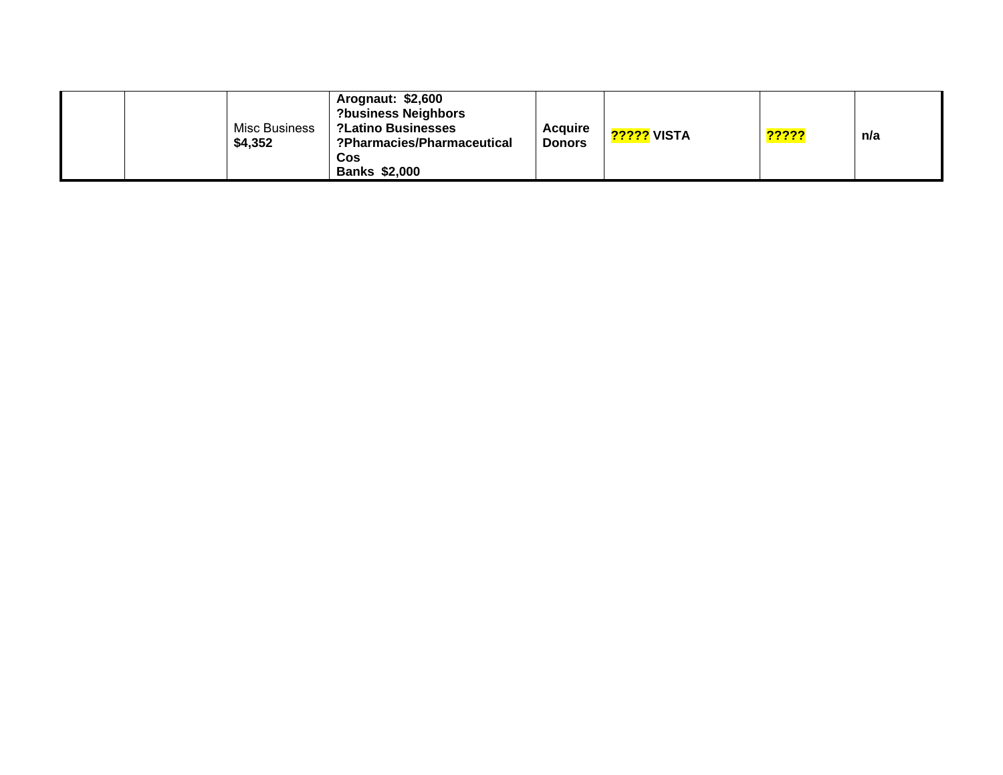| Misc Business<br>\$4,352 | Arognaut: \$2,600<br><b>?business Neighbors</b><br><b>?Latino Businesses</b><br>?Pharmacies/Pharmaceutical<br>Cos<br><b>Banks \$2,000</b> | <b>Acquire</b><br><b>Donors</b> | VISTA ו <mark>?????</mark> | <mark>?????</mark> | n/a |
|--------------------------|-------------------------------------------------------------------------------------------------------------------------------------------|---------------------------------|----------------------------|--------------------|-----|
|--------------------------|-------------------------------------------------------------------------------------------------------------------------------------------|---------------------------------|----------------------------|--------------------|-----|